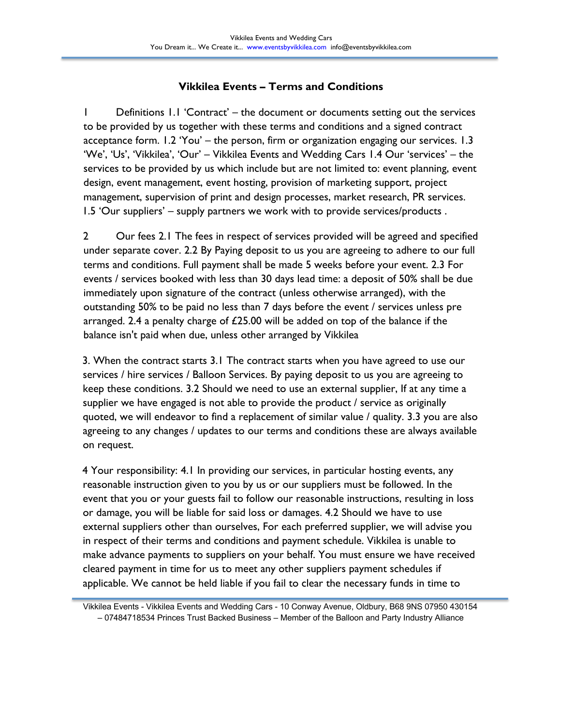## **Vikkilea Events – Terms and Conditions**

1 Definitions 1.1 'Contract' – the document or documents setting out the services to be provided by us together with these terms and conditions and a signed contract acceptance form. 1.2 'You' – the person, firm or organization engaging our services. 1.3 'We', 'Us', 'Vikkilea', 'Our' – Vikkilea Events and Wedding Cars 1.4 Our 'services' – the services to be provided by us which include but are not limited to: event planning, event design, event management, event hosting, provision of marketing support, project management, supervision of print and design processes, market research, PR services. 1.5 'Our suppliers' – supply partners we work with to provide services/products .

2 Our fees 2.1 The fees in respect of services provided will be agreed and specified under separate cover. 2.2 By Paying deposit to us you are agreeing to adhere to our full terms and conditions. Full payment shall be made 5 weeks before your event. 2.3 For events / services booked with less than 30 days lead time: a deposit of 50% shall be due immediately upon signature of the contract (unless otherwise arranged), with the outstanding 50% to be paid no less than 7 days before the event / services unless pre arranged. 2.4 a penalty charge of £25.00 will be added on top of the balance if the balance isn't paid when due, unless other arranged by Vikkilea

3. When the contract starts 3.1 The contract starts when you have agreed to use our services / hire services / Balloon Services. By paying deposit to us you are agreeing to keep these conditions. 3.2 Should we need to use an external supplier, If at any time a supplier we have engaged is not able to provide the product / service as originally quoted, we will endeavor to find a replacement of similar value / quality. 3.3 you are also agreeing to any changes / updates to our terms and conditions these are always available on request.

4 Your responsibility: 4.1 In providing our services, in particular hosting events, any reasonable instruction given to you by us or our suppliers must be followed. In the event that you or your guests fail to follow our reasonable instructions, resulting in loss or damage, you will be liable for said loss or damages. 4.2 Should we have to use external suppliers other than ourselves, For each preferred supplier, we will advise you in respect of their terms and conditions and payment schedule. Vikkilea is unable to make advance payments to suppliers on your behalf. You must ensure we have received cleared payment in time for us to meet any other suppliers payment schedules if applicable. We cannot be held liable if you fail to clear the necessary funds in time to

Vikkilea Events - Vikkilea Events and Wedding Cars - 10 Conway Avenue, Oldbury, B68 9NS 07950 430154 – 07484718534 Princes Trust Backed Business – Member of the Balloon and Party Industry Alliance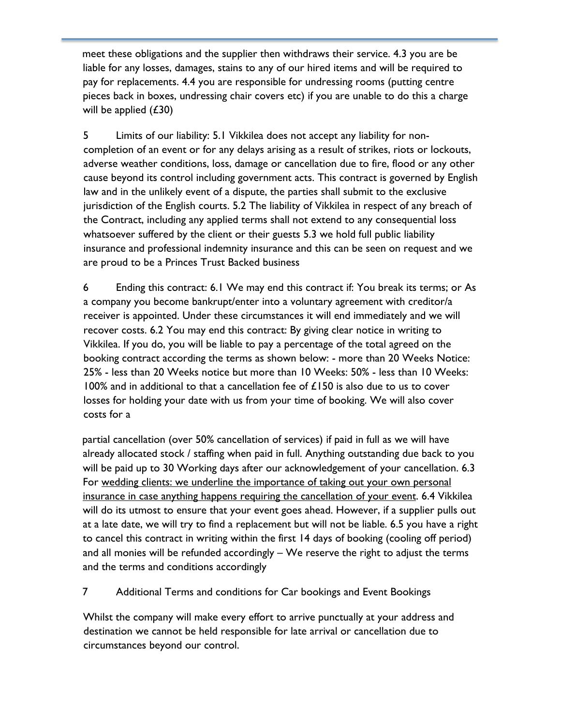meet these obligations and the supplier then withdraws their service. 4.3 you are be liable for any losses, damages, stains to any of our hired items and will be required to pay for replacements. 4.4 you are responsible for undressing rooms (putting centre pieces back in boxes, undressing chair covers etc) if you are unable to do this a charge will be applied  $(£30)$ 

5 Limits of our liability: 5.1 Vikkilea does not accept any liability for noncompletion of an event or for any delays arising as a result of strikes, riots or lockouts, adverse weather conditions, loss, damage or cancellation due to fire, flood or any other cause beyond its control including government acts. This contract is governed by English law and in the unlikely event of a dispute, the parties shall submit to the exclusive jurisdiction of the English courts. 5.2 The liability of Vikkilea in respect of any breach of the Contract, including any applied terms shall not extend to any consequential loss whatsoever suffered by the client or their guests 5.3 we hold full public liability insurance and professional indemnity insurance and this can be seen on request and we are proud to be a Princes Trust Backed business

6 Ending this contract: 6.1 We may end this contract if: You break its terms; or As a company you become bankrupt/enter into a voluntary agreement with creditor/a receiver is appointed. Under these circumstances it will end immediately and we will recover costs. 6.2 You may end this contract: By giving clear notice in writing to Vikkilea. If you do, you will be liable to pay a percentage of the total agreed on the booking contract according the terms as shown below: - more than 20 Weeks Notice: 25% - less than 20 Weeks notice but more than 10 Weeks: 50% - less than 10 Weeks: 100% and in additional to that a cancellation fee of £150 is also due to us to cover losses for holding your date with us from your time of booking. We will also cover costs for a

partial cancellation (over 50% cancellation of services) if paid in full as we will have already allocated stock / staffing when paid in full. Anything outstanding due back to you will be paid up to 30 Working days after our acknowledgement of your cancellation. 6.3 For wedding clients: we underline the importance of taking out your own personal insurance in case anything happens requiring the cancellation of your event. 6.4 Vikkilea will do its utmost to ensure that your event goes ahead. However, if a supplier pulls out at a late date, we will try to find a replacement but will not be liable. 6.5 you have a right to cancel this contract in writing within the first 14 days of booking (cooling off period) and all monies will be refunded accordingly – We reserve the right to adjust the terms and the terms and conditions accordingly

## 7 Additional Terms and conditions for Car bookings and Event Bookings

Whilst the company will make every effort to arrive punctually at your address and destination we cannot be held responsible for late arrival or cancellation due to circumstances beyond our control.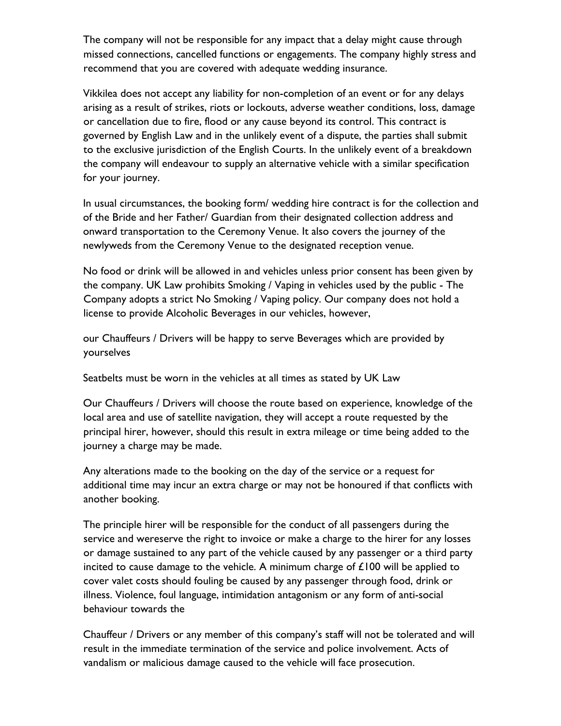The company will not be responsible for any impact that a delay might cause through missed connections, cancelled functions or engagements. The company highly stress and recommend that you are covered with adequate wedding insurance.

Vikkilea does not accept any liability for non-completion of an event or for any delays arising as a result of strikes, riots or lockouts, adverse weather conditions, loss, damage or cancellation due to fire, flood or any cause beyond its control. This contract is governed by English Law and in the unlikely event of a dispute, the parties shall submit to the exclusive jurisdiction of the English Courts. In the unlikely event of a breakdown the company will endeavour to supply an alternative vehicle with a similar specification for your journey.

In usual circumstances, the booking form/ wedding hire contract is for the collection and of the Bride and her Father/ Guardian from their designated collection address and onward transportation to the Ceremony Venue. It also covers the journey of the newlyweds from the Ceremony Venue to the designated reception venue.

No food or drink will be allowed in and vehicles unless prior consent has been given by the company. UK Law prohibits Smoking / Vaping in vehicles used by the public - The Company adopts a strict No Smoking / Vaping policy. Our company does not hold a license to provide Alcoholic Beverages in our vehicles, however,

our Chauffeurs / Drivers will be happy to serve Beverages which are provided by yourselves

Seatbelts must be worn in the vehicles at all times as stated by UK Law

Our Chauffeurs / Drivers will choose the route based on experience, knowledge of the local area and use of satellite navigation, they will accept a route requested by the principal hirer, however, should this result in extra mileage or time being added to the journey a charge may be made.

Any alterations made to the booking on the day of the service or a request for additional time may incur an extra charge or may not be honoured if that conflicts with another booking.

The principle hirer will be responsible for the conduct of all passengers during the service and wereserve the right to invoice or make a charge to the hirer for any losses or damage sustained to any part of the vehicle caused by any passenger or a third party incited to cause damage to the vehicle. A minimum charge of  $\pounds$ 100 will be applied to cover valet costs should fouling be caused by any passenger through food, drink or illness. Violence, foul language, intimidation antagonism or any form of anti-social behaviour towards the

Chauffeur / Drivers or any member of this company's staff will not be tolerated and will result in the immediate termination of the service and police involvement. Acts of vandalism or malicious damage caused to the vehicle will face prosecution.